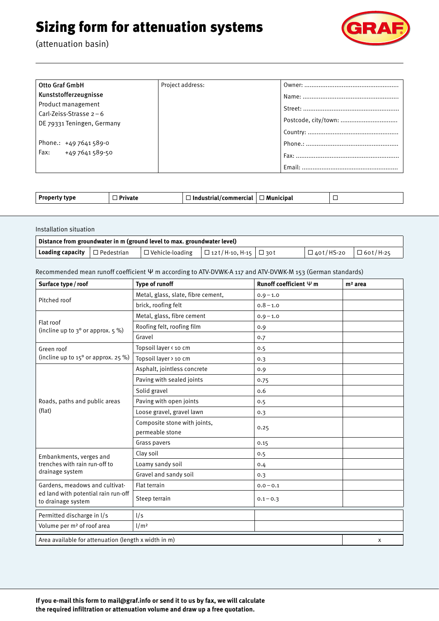## Sizing form for attenuation systems

(attenuation basin)



| Otto Graf GmbH             | Project address: |  |
|----------------------------|------------------|--|
| Kunststofferzeugnisse      |                  |  |
| Product management         |                  |  |
| Carl-Zeiss-Strasse $2-6$   |                  |  |
|                            |                  |  |
| DE 79331 Teningen, Germany |                  |  |
|                            |                  |  |
| Phone.: $+497641589-0$     |                  |  |
| Fax: $+497641589-50$       |                  |  |
|                            |                  |  |

| IDAI |
|------|
|------|

| Installation situation                                                  |                      |                        |                                  |  |             |                 |
|-------------------------------------------------------------------------|----------------------|------------------------|----------------------------------|--|-------------|-----------------|
| Distance from groundwater in m (ground level to max. groundwater level) |                      |                        |                                  |  |             |                 |
| Loading capacity                                                        | $\square$ Pedestrian | $\Box$ Vehicle-loading | $\Box$ 12t/H-10, H-15 $\Box$ 30t |  | □ 40t/HS-20 | $\Box$ 60t/H-25 |

Recommended mean runoff coefficient Ψ m according to ATV-DVWK-A 117 and ATV-DVWK-M 153 (German standards)

| Surface type / roof                                                                         | Type of runoff                                  | Runoff coefficient $\Psi$ m | $m2$ area |
|---------------------------------------------------------------------------------------------|-------------------------------------------------|-----------------------------|-----------|
| Pitched roof                                                                                | Metal, glass, slate, fibre cement,              | $0.9 - 1.0$                 |           |
|                                                                                             | brick, roofing felt                             | $0.8 - 1.0$                 |           |
|                                                                                             | Metal, glass, fibre cement                      | $0.9 - 1.0$                 |           |
| Flat roof<br>(incline up to $3^{\circ}$ or approx. $5\%$ )                                  | Roofing felt, roofing film                      | 0.9                         |           |
|                                                                                             | Gravel                                          | 0.7                         |           |
| Green roof                                                                                  | Topsoil layer < 10 cm                           | 0.5                         |           |
| (incline up to $15^{\circ}$ or approx. 25 %)                                                | Topsoil layer > 10 cm                           | 0.3                         |           |
|                                                                                             | Asphalt, jointless concrete                     | 0.9                         |           |
| Roads, paths and public areas<br>(flat)                                                     | Paving with sealed joints                       | 0.75                        |           |
|                                                                                             | Solid gravel                                    | 0.6                         |           |
|                                                                                             | Paving with open joints                         | 0.5                         |           |
|                                                                                             | Loose gravel, gravel lawn                       | 0.3                         |           |
|                                                                                             | Composite stone with joints,<br>permeable stone | 0.25                        |           |
|                                                                                             | Grass pavers                                    | 0.15                        |           |
| Embankments, verges and<br>trenches with rain run-off to<br>drainage system                 | Clay soil                                       | 0.5                         |           |
|                                                                                             | Loamy sandy soil                                | 0.4                         |           |
|                                                                                             | Gravel and sandy soil                           | 0.3                         |           |
| Gardens, meadows and cultivat-<br>ed land with potential rain run-off<br>to drainage system | Flat terrain                                    | $0.0 - 0.1$                 |           |
|                                                                                             | Steep terrain                                   | $0.1 - 0.3$                 |           |
| Permitted discharge in I/s                                                                  | 1/s                                             |                             |           |
| Volume per m <sup>2</sup> of roof area                                                      | 1/m <sup>2</sup>                                |                             |           |
| Area available for attenuation (length x width in m)                                        |                                                 |                             | X         |